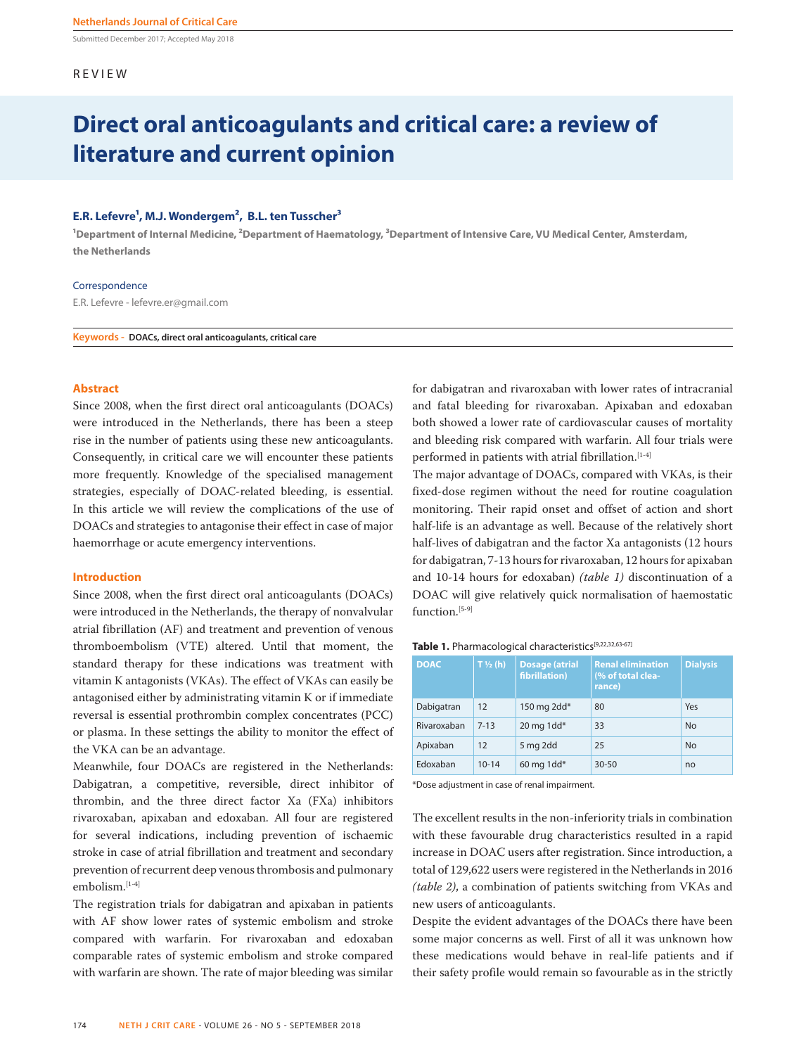Submitted December 2017; Accepted May 2018

## REVIEW

# **Direct oral anticoagulants and critical care: a review of literature and current opinion**

# E.R. Lefevre<sup>1</sup>, M.J. Wondergem<sup>2</sup>, B.L. ten Tusscher<sup>3</sup>

<sup>1</sup>Department of Internal Medicine, <sup>2</sup>Department of Haematology, <sup>3</sup>Department of Intensive Care, VU Medical Center, Amsterdam, **the Netherlands**

#### Correspondence

E.R. Lefevre - lefevre.er@gmail.com

**Keywords - DOACs, direct oral anticoagulants, critical care**

# **Abstract**

Since 2008, when the first direct oral anticoagulants (DOACs) were introduced in the Netherlands, there has been a steep rise in the number of patients using these new anticoagulants. Consequently, in critical care we will encounter these patients more frequently. Knowledge of the specialised management strategies, especially of DOAC-related bleeding, is essential. In this article we will review the complications of the use of DOACs and strategies to antagonise their effect in case of major haemorrhage or acute emergency interventions.

#### **Introduction**

Since 2008, when the first direct oral anticoagulants (DOACs) were introduced in the Netherlands, the therapy of nonvalvular atrial fibrillation (AF) and treatment and prevention of venous thromboembolism (VTE) altered. Until that moment, the standard therapy for these indications was treatment with vitamin K antagonists (VKAs). The effect of VKAs can easily be antagonised either by administrating vitamin K or if immediate reversal is essential prothrombin complex concentrates (PCC) or plasma. In these settings the ability to monitor the effect of the VKA can be an advantage.

Meanwhile, four DOACs are registered in the Netherlands: Dabigatran, a competitive, reversible, direct inhibitor of thrombin, and the three direct factor Xa (FXa) inhibitors rivaroxaban, apixaban and edoxaban. All four are registered for several indications, including prevention of ischaemic stroke in case of atrial fibrillation and treatment and secondary prevention of recurrent deep venous thrombosis and pulmonary embolism.[1-4]

The registration trials for dabigatran and apixaban in patients with AF show lower rates of systemic embolism and stroke compared with warfarin. For rivaroxaban and edoxaban comparable rates of systemic embolism and stroke compared with warfarin are shown. The rate of major bleeding was similar for dabigatran and rivaroxaban with lower rates of intracranial and fatal bleeding for rivaroxaban. Apixaban and edoxaban both showed a lower rate of cardiovascular causes of mortality and bleeding risk compared with warfarin. All four trials were performed in patients with atrial fibrillation.<sup>[1-4]</sup>

The major advantage of DOACs, compared with VKAs, is their fixed-dose regimen without the need for routine coagulation monitoring. Their rapid onset and offset of action and short half-life is an advantage as well. Because of the relatively short half-lives of dabigatran and the factor Xa antagonists (12 hours for dabigatran, 7-13 hours for rivaroxaban, 12 hours for apixaban and 10-14 hours for edoxaban) *(table 1)* discontinuation of a DOAC will give relatively quick normalisation of haemostatic function.<sup>[5-9]</sup>

| <b>DOAC</b> | $T\frac{1}{2}$ (h) | <b>Dosage (atrial</b><br>fibrillation) | <b>Renal elimination</b><br>(% of total clea-<br>rance) | <b>Dialysis</b> |
|-------------|--------------------|----------------------------------------|---------------------------------------------------------|-----------------|
| Dabigatran  | 12                 | 150 mg $2dd*$                          | 80                                                      | Yes             |
| Rivaroxaban | $7 - 13$           | 20 mg 1dd $*$                          | 33                                                      | <b>No</b>       |
| Apixaban    | 12                 | 5 mg 2dd                               | 25                                                      | <b>No</b>       |
| Edoxaban    | $10 - 14$          | $60$ mg 1dd*                           | $30 - 50$                                               | no              |

Table 1. Pharmacological characteristics<sup>[9,22,32,63-67]</sup>

\*Dose adjustment in case of renal impairment.

The excellent results in the non-inferiority trials in combination with these favourable drug characteristics resulted in a rapid increase in DOAC users after registration. Since introduction, a total of 129,622 users were registered in the Netherlands in 2016 *(table 2)*, a combination of patients switching from VKAs and new users of anticoagulants.

Despite the evident advantages of the DOACs there have been some major concerns as well. First of all it was unknown how these medications would behave in real-life patients and if their safety profile would remain so favourable as in the strictly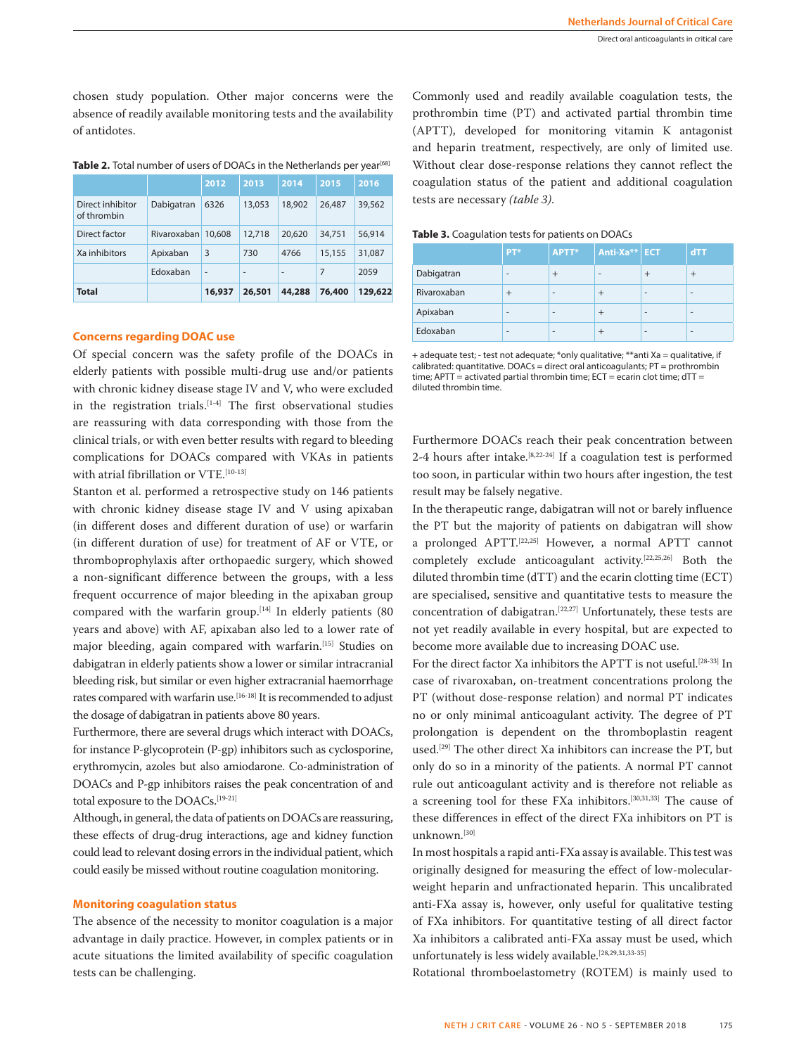chosen study population. Other major concerns were the absence of readily available monitoring tests and the availability of antidotes.

| <b>Total</b>                    |             | 16,937 | 26.501                   | 44,288 | 76,400 | 129,622 |
|---------------------------------|-------------|--------|--------------------------|--------|--------|---------|
|                                 | Edoxaban    | ٠      | $\overline{\phantom{a}}$ | ٠      | 7      | 2059    |
| Xa inhibitors                   | Apixaban    | 3      | 730                      | 4766   | 15,155 | 31,087  |
| Direct factor                   | Rivaroxaban | 10,608 | 12,718                   | 20.620 | 34.751 | 56,914  |
| Direct inhibitor<br>of thrombin | Dabigatran  | 6326   | 13,053                   | 18,902 | 26.487 | 39,562  |
|                                 |             | 2012   | 2013                     | 2014   | 2015   | 2016    |

#### Table 2. Total number of users of DOACs in the Netherlands per year<sup>[68</sup>]

## **Concerns regarding DOAC use**

Of special concern was the safety profile of the DOACs in elderly patients with possible multi-drug use and/or patients with chronic kidney disease stage IV and V, who were excluded in the registration trials.<sup>[1-4]</sup> The first observational studies are reassuring with data corresponding with those from the clinical trials, or with even better results with regard to bleeding complications for DOACs compared with VKAs in patients with atrial fibrillation or VTE.[10-13]

Stanton et al. performed a retrospective study on 146 patients with chronic kidney disease stage IV and V using apixaban (in different doses and different duration of use) or warfarin (in different duration of use) for treatment of AF or VTE, or thromboprophylaxis after orthopaedic surgery, which showed a non-significant difference between the groups, with a less frequent occurrence of major bleeding in the apixaban group compared with the warfarin group.<sup>[14]</sup> In elderly patients (80 years and above) with AF, apixaban also led to a lower rate of major bleeding, again compared with warfarin.[15] Studies on dabigatran in elderly patients show a lower or similar intracranial bleeding risk, but similar or even higher extracranial haemorrhage rates compared with warfarin use.<sup>[16-18]</sup> It is recommended to adjust the dosage of dabigatran in patients above 80 years.

Furthermore, there are several drugs which interact with DOACs, for instance P-glycoprotein (P-gp) inhibitors such as cyclosporine, erythromycin, azoles but also amiodarone. Co-administration of DOACs and P-gp inhibitors raises the peak concentration of and total exposure to the DOACs.[19-21]

Although, in general, the data of patients on DOACs are reassuring, these effects of drug-drug interactions, age and kidney function could lead to relevant dosing errors in the individual patient, which could easily be missed without routine coagulation monitoring.

## **Monitoring coagulation status**

The absence of the necessity to monitor coagulation is a major advantage in daily practice. However, in complex patients or in acute situations the limited availability of specific coagulation tests can be challenging.

Commonly used and readily available coagulation tests, the prothrombin time (PT) and activated partial thrombin time (APTT), developed for monitoring vitamin K antagonist and heparin treatment, respectively, are only of limited use. Without clear dose-response relations they cannot reflect the coagulation status of the patient and additional coagulation tests are necessary *(table 3)*.

|  | Table 3. Coagulation tests for patients on DOACs |  |  |  |
|--|--------------------------------------------------|--|--|--|
|--|--------------------------------------------------|--|--|--|

|             | PT*                      | APTT*                    | Anti-Xa** ECT |      | dTT                      |
|-------------|--------------------------|--------------------------|---------------|------|--------------------------|
| Dabigatran  | $\overline{\phantom{a}}$ | $\ddot{}$                | ۰             |      | $\pm$                    |
| Rivaroxaban |                          | $\overline{\phantom{a}}$ | $^{+}$        | $\,$ | $\,$                     |
| Apixaban    | $\,$                     | $\overline{\phantom{a}}$ | $^{+}$        | $\,$ | $\,$                     |
| Edoxaban    | $\,$                     | $\overline{\phantom{a}}$ | $^{+}$        | $\,$ | $\overline{\phantom{a}}$ |

+ adequate test; - test not adequate; \*only qualitative; \*\*anti Xa = qualitative, if  $caled:$  quantitative. DOACs = direct oral anticoagulants;  $PT =$  prothrombin time; APTT = activated partial thrombin time; ECT = ecarin clot time; dTT = diluted thrombin time.

Furthermore DOACs reach their peak concentration between 2-4 hours after intake.[8,22-24] If a coagulation test is performed too soon, in particular within two hours after ingestion, the test result may be falsely negative.

In the therapeutic range, dabigatran will not or barely influence the PT but the majority of patients on dabigatran will show a prolonged APTT.[22,25] However, a normal APTT cannot completely exclude anticoagulant activity.[22,25,26] Both the diluted thrombin time (dTT) and the ecarin clotting time (ECT) are specialised, sensitive and quantitative tests to measure the concentration of dabigatran.[22,27] Unfortunately, these tests are not yet readily available in every hospital, but are expected to become more available due to increasing DOAC use.

For the direct factor Xa inhibitors the APTT is not useful.[28-33] In case of rivaroxaban, on-treatment concentrations prolong the PT (without dose-response relation) and normal PT indicates no or only minimal anticoagulant activity. The degree of PT prolongation is dependent on the thromboplastin reagent used.[29] The other direct Xa inhibitors can increase the PT, but only do so in a minority of the patients. A normal PT cannot rule out anticoagulant activity and is therefore not reliable as a screening tool for these FXa inhibitors.[30,31,33] The cause of these differences in effect of the direct FXa inhibitors on PT is unknown.[30]

In most hospitals a rapid anti-FXa assay is available. This test was originally designed for measuring the effect of low-molecularweight heparin and unfractionated heparin. This uncalibrated anti-FXa assay is, however, only useful for qualitative testing of FXa inhibitors. For quantitative testing of all direct factor Xa inhibitors a calibrated anti-FXa assay must be used, which unfortunately is less widely available.<sup>[28,29,31,33-35]</sup>

Rotational thromboelastometry (ROTEM) is mainly used to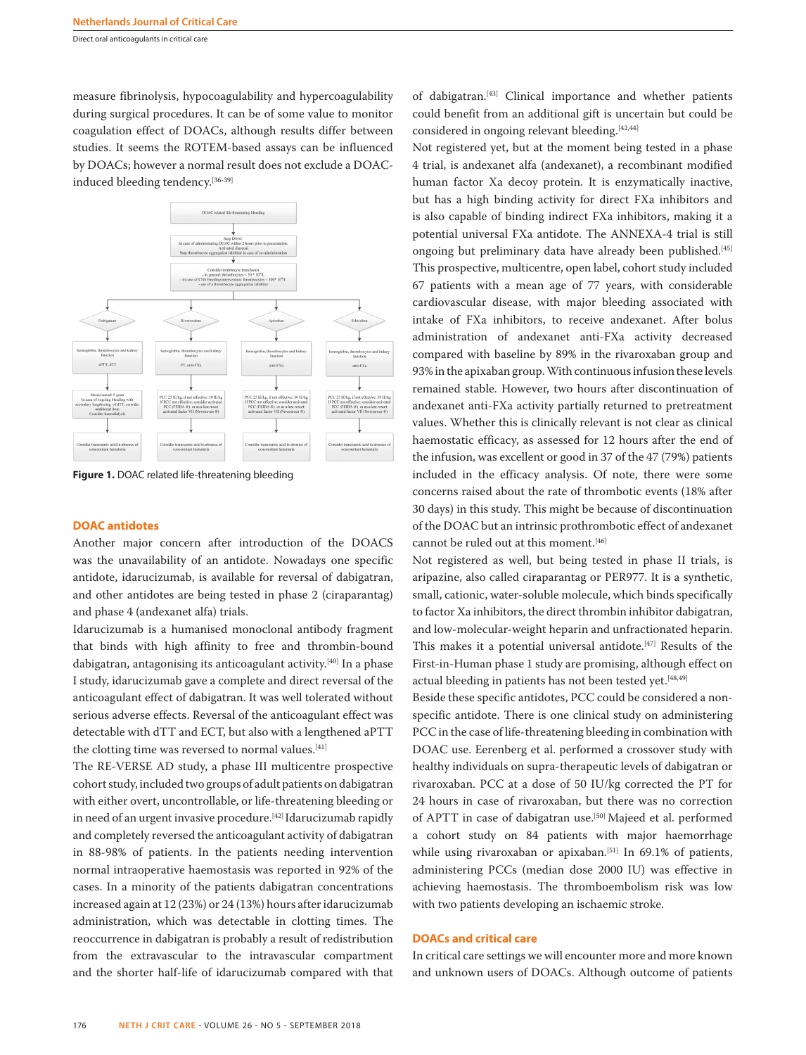Direct oral anticoagulants in critical care

measure fibrinolysis, hypocoagulability and hypercoagulability during surgical procedures. It can be of some value to monitor coagulation effect of DOACs, although results differ between studies. It seems the ROTEM-based assays can be influenced by DOACs; however a normal result does not exclude a DOACinduced bleeding tendency.[36-39]



**Figure 1.** DOAC related life-threatening bleeding

### **DOAC antidotes**

Another major concern after introduction of the DOACS was the unavailability of an antidote. Nowadays one specific antidote, idarucizumab, is available for reversal of dabigatran, and other antidotes are being tested in phase 2 (ciraparantag) and phase 4 (andexanet alfa) trials.

Idarucizumab is a humanised monoclonal antibody fragment that binds with high affinity to free and thrombin-bound dabigatran, antagonising its anticoagulant activity.<sup>[40]</sup> In a phase I study, idarucizumab gave a complete and direct reversal of the anticoagulant effect of dabigatran. It was well tolerated without serious adverse effects. Reversal of the anticoagulant effect was detectable with dTT and ECT, but also with a lengthened aPTT the clotting time was reversed to normal values.<sup>[41]</sup>

The RE-VERSE AD study, a phase III multicentre prospective cohort study, included two groups of adult patients on dabigatran with either overt, uncontrollable, or life-threatening bleeding or in need of an urgent invasive procedure.<sup>[42]</sup> Idarucizumab rapidly and completely reversed the anticoagulant activity of dabigatran in 88-98% of patients. In the patients needing intervention normal intraoperative haemostasis was reported in 92% of the cases. In a minority of the patients dabigatran concentrations increased again at 12 (23%) or 24 (13%) hours after idarucizumab administration, which was detectable in clotting times. The reoccurrence in dabigatran is probably a result of redistribution from the extravascular to the intravascular compartment and the shorter half-life of idarucizumab compared with that of dabigatran.[43] Clinical importance and whether patients could benefit from an additional gift is uncertain but could be considered in ongoing relevant bleeding.[42,44]

Not registered yet, but at the moment being tested in a phase 4 trial, is andexanet alfa (andexanet), a recombinant modified human factor Xa decoy protein. It is enzymatically inactive, but has a high binding activity for direct FXa inhibitors and is also capable of binding indirect FXa inhibitors, making it a potential universal FXa antidote. The ANNEXA-4 trial is still ongoing but preliminary data have already been published.<sup>[45]</sup> This prospective, multicentre, open label, cohort study included 67 patients with a mean age of 77 years, with considerable cardiovascular disease, with major bleeding associated with intake of FXa inhibitors, to receive andexanet. After bolus administration of andexanet anti-FXa activity decreased compared with baseline by 89% in the rivaroxaban group and 93% in the apixaban group. With continuous infusion these levels remained stable. However, two hours after discontinuation of andexanet anti-FXa activity partially returned to pretreatment values. Whether this is clinically relevant is not clear as clinical haemostatic efficacy, as assessed for 12 hours after the end of the infusion, was excellent or good in 37 of the 47 (79%) patients included in the efficacy analysis. Of note, there were some concerns raised about the rate of thrombotic events (18% after 30 days) in this study. This might be because of discontinuation of the DOAC but an intrinsic prothrombotic effect of andexanet cannot be ruled out at this moment.[46]

Not registered as well, but being tested in phase II trials, is aripazine, also called ciraparantag or PER977. It is a synthetic, small, cationic, water-soluble molecule, which binds specifically to factor Xa inhibitors, the direct thrombin inhibitor dabigatran, and low-molecular-weight heparin and unfractionated heparin. This makes it a potential universal antidote.[47] Results of the First-in-Human phase 1 study are promising, although effect on actual bleeding in patients has not been tested yet.<sup>[48,49]</sup>

Beside these specific antidotes, PCC could be considered a nonspecific antidote. There is one clinical study on administering PCC in the case of life-threatening bleeding in combination with DOAC use. Eerenberg et al. performed a crossover study with healthy individuals on supra-therapeutic levels of dabigatran or rivaroxaban. PCC at a dose of 50 IU/kg corrected the PT for 24 hours in case of rivaroxaban, but there was no correction of APTT in case of dabigatran use.<sup>[50]</sup> Majeed et al. performed a cohort study on 84 patients with major haemorrhage while using rivaroxaban or apixaban.<sup>[51]</sup> In 69.1% of patients, administering PCCs (median dose 2000 IU) was effective in achieving haemostasis. The thromboembolism risk was low with two patients developing an ischaemic stroke.

# **DOACs and critical care**

In critical care settings we will encounter more and more known and unknown users of DOACs. Although outcome of patients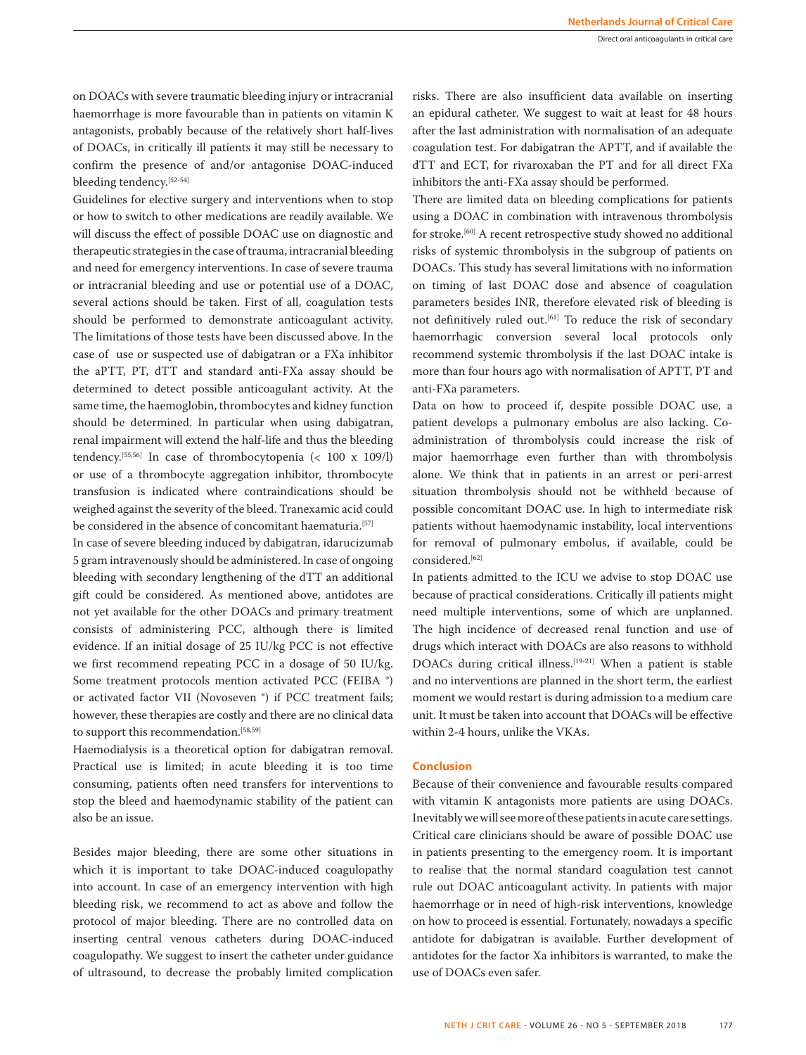on DOACs with severe traumatic bleeding injury or intracranial haemorrhage is more favourable than in patients on vitamin K antagonists, probably because of the relatively short half-lives of DOACs, in critically ill patients it may still be necessary to confirm the presence of and/or antagonise DOAC-induced bleeding tendency.[52-54]

Guidelines for elective surgery and interventions when to stop or how to switch to other medications are readily available. We will discuss the effect of possible DOAC use on diagnostic and therapeutic strategies in the case of trauma, intracranial bleeding and need for emergency interventions. In case of severe trauma or intracranial bleeding and use or potential use of a DOAC, several actions should be taken. First of all, coagulation tests should be performed to demonstrate anticoagulant activity. The limitations of those tests have been discussed above. In the case of use or suspected use of dabigatran or a FXa inhibitor the aPTT, PT, dTT and standard anti-FXa assay should be determined to detect possible anticoagulant activity. At the same time, the haemoglobin, thrombocytes and kidney function should be determined. In particular when using dabigatran, renal impairment will extend the half-life and thus the bleeding tendency.[55,56] In case of thrombocytopenia (< 100 x 109/l) or use of a thrombocyte aggregation inhibitor, thrombocyte transfusion is indicated where contraindications should be weighed against the severity of the bleed. Tranexamic acid could be considered in the absence of concomitant haematuria.<sup>[57]</sup>

In case of severe bleeding induced by dabigatran, idarucizumab 5 gram intravenously should be administered. In case of ongoing bleeding with secondary lengthening of the dTT an additional gift could be considered. As mentioned above, antidotes are not yet available for the other DOACs and primary treatment consists of administering PCC, although there is limited evidence. If an initial dosage of 25 IU/kg PCC is not effective we first recommend repeating PCC in a dosage of 50 IU/kg. Some treatment protocols mention activated PCC (FEIBA ®) or activated factor VII (Novoseven ®) if PCC treatment fails; however, these therapies are costly and there are no clinical data to support this recommendation.<sup>[58,59]</sup>

Haemodialysis is a theoretical option for dabigatran removal. Practical use is limited; in acute bleeding it is too time consuming, patients often need transfers for interventions to stop the bleed and haemodynamic stability of the patient can also be an issue.

Besides major bleeding, there are some other situations in which it is important to take DOAC-induced coagulopathy into account. In case of an emergency intervention with high bleeding risk, we recommend to act as above and follow the protocol of major bleeding. There are no controlled data on inserting central venous catheters during DOAC-induced coagulopathy. We suggest to insert the catheter under guidance of ultrasound, to decrease the probably limited complication risks. There are also insufficient data available on inserting an epidural catheter. We suggest to wait at least for 48 hours after the last administration with normalisation of an adequate coagulation test. For dabigatran the APTT, and if available the dTT and ECT, for rivaroxaban the PT and for all direct FXa inhibitors the anti-FXa assay should be performed.

There are limited data on bleeding complications for patients using a DOAC in combination with intravenous thrombolysis for stroke.<sup>[60]</sup> A recent retrospective study showed no additional risks of systemic thrombolysis in the subgroup of patients on DOACs. This study has several limitations with no information on timing of last DOAC dose and absence of coagulation parameters besides INR, therefore elevated risk of bleeding is not definitively ruled out.<sup>[61]</sup> To reduce the risk of secondary haemorrhagic conversion several local protocols only recommend systemic thrombolysis if the last DOAC intake is more than four hours ago with normalisation of APTT, PT and anti-FXa parameters.

Data on how to proceed if, despite possible DOAC use, a patient develops a pulmonary embolus are also lacking. Coadministration of thrombolysis could increase the risk of major haemorrhage even further than with thrombolysis alone. We think that in patients in an arrest or peri-arrest situation thrombolysis should not be withheld because of possible concomitant DOAC use. In high to intermediate risk patients without haemodynamic instability, local interventions for removal of pulmonary embolus, if available, could be considered.[62]

In patients admitted to the ICU we advise to stop DOAC use because of practical considerations. Critically ill patients might need multiple interventions, some of which are unplanned. The high incidence of decreased renal function and use of drugs which interact with DOACs are also reasons to withhold DOACs during critical illness.<sup>[19-21]</sup> When a patient is stable and no interventions are planned in the short term, the earliest moment we would restart is during admission to a medium care unit. It must be taken into account that DOACs will be effective within 2-4 hours, unlike the VKAs.

# **Conclusion**

Because of their convenience and favourable results compared with vitamin K antagonists more patients are using DOACs. Inevitably we will see more of these patients in acute care settings. Critical care clinicians should be aware of possible DOAC use in patients presenting to the emergency room. It is important to realise that the normal standard coagulation test cannot rule out DOAC anticoagulant activity. In patients with major haemorrhage or in need of high-risk interventions, knowledge on how to proceed is essential. Fortunately, nowadays a specific antidote for dabigatran is available. Further development of antidotes for the factor Xa inhibitors is warranted, to make the use of DOACs even safer.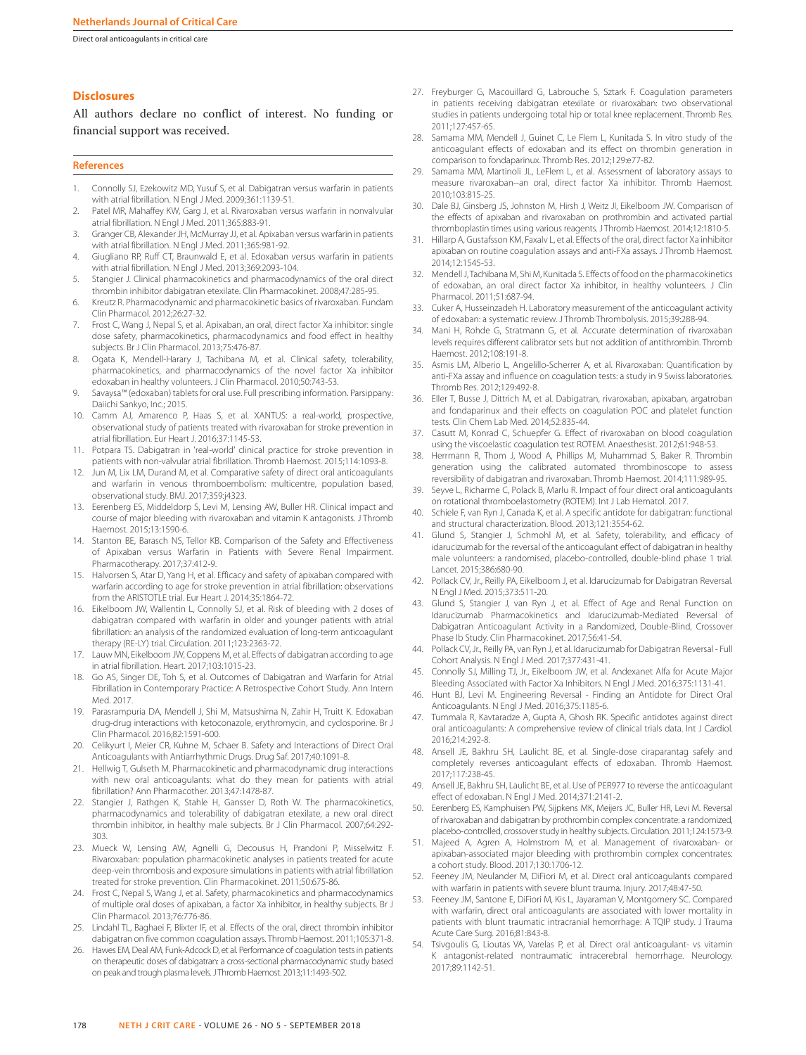Direct oral anticoagulants in critical care

### **Disclosures**

All authors declare no conflict of interest. No funding or financial support was received.

#### **References**

- 1. Connolly SJ, Ezekowitz MD, Yusuf S, et al. Dabigatran versus warfarin in patients with atrial fibrillation. N Engl J Med. 2009;361:1139-51.
- 2. Patel MR, Mahaffey KW, Garg J, et al. Rivaroxaban versus warfarin in nonvalvular atrial fibrillation. N Engl J Med. 2011;365:883-91.
- 3. Granger CB, Alexander JH, McMurray JJ, et al. Apixaban versus warfarin in patients with atrial fibrillation. N Engl J Med. 2011;365:981-92.
- 4. Giugliano RP, Ruff CT, Braunwald E, et al. Edoxaban versus warfarin in patients with atrial fibrillation. N Engl J Med. 2013;369:2093-104.
- 5. Stangier J. Clinical pharmacokinetics and pharmacodynamics of the oral direct thrombin inhibitor dabigatran etexilate. Clin Pharmacokinet. 2008;47:285-95.
- 6. Kreutz R. Pharmacodynamic and pharmacokinetic basics of rivaroxaban. Fundam Clin Pharmacol. 2012;26:27-32.
- 7. Frost C, Wang J, Nepal S, et al. Apixaban, an oral, direct factor Xa inhibitor: single dose safety, pharmacokinetics, pharmacodynamics and food effect in healthy subjects. Br J Clin Pharmacol. 2013;75:476-87.
- 8. Ogata K, Mendell-Harary J, Tachibana M, et al. Clinical safety, tolerability, pharmacokinetics, and pharmacodynamics of the novel factor Xa inhibitor edoxaban in healthy volunteers. J Clin Pharmacol. 2010;50:743-53.
- 9. Savaysa™ (edoxaban) tablets for oral use. Full prescribing information. Parsippany: Daiichi Sankyo, Inc.; 2015.
- 10. Camm AJ, Amarenco P, Haas S, et al. XANTUS: a real-world, prospective, observational study of patients treated with rivaroxaban for stroke prevention in atrial fibrillation. Eur Heart J. 2016;37:1145-53.
- 11. Potpara TS. Dabigatran in 'real-world' clinical practice for stroke prevention in patients with non-valvular atrial fibrillation. Thromb Haemost. 2015;114:1093-8.
- 12. Jun M, Lix LM, Durand M, et al. Comparative safety of direct oral anticoagulants and warfarin in venous thromboembolism: multicentre, population based, observational study. BMJ. 2017;359:j4323.
- 13. Eerenberg ES, Middeldorp S, Levi M, Lensing AW, Buller HR. Clinical impact and course of major bleeding with rivaroxaban and vitamin K antagonists. J Thromb Haemost. 2015;13:1590-6.
- Stanton BE, Barasch NS, Tellor KB. Comparison of the Safety and Effectiveness of Apixaban versus Warfarin in Patients with Severe Renal Impairment. Pharmacotherapy. 2017;37:412-9.
- 15. Halvorsen S, Atar D, Yang H, et al. Efficacy and safety of apixaban compared with warfarin according to age for stroke prevention in atrial fibrillation: observations from the ARISTOTLE trial. Eur Heart J. 2014;35:1864-72.
- 16. Eikelboom JW, Wallentin L, Connolly SJ, et al. Risk of bleeding with 2 doses of dabigatran compared with warfarin in older and younger patients with atrial fibrillation: an analysis of the randomized evaluation of long-term anticoagulant therapy (RE-LY) trial. Circulation. 2011;123:2363-72.
- 17. Lauw MN, Eikelboom JW, Coppens M, et al. Effects of dabigatran according to age in atrial fibrillation. Heart. 2017;103:1015-23.
- 18. Go AS, Singer DE, Toh S, et al. Outcomes of Dabigatran and Warfarin for Atrial Fibrillation in Contemporary Practice: A Retrospective Cohort Study. Ann Intern Med. 2017.
- 19. Parasrampuria DA, Mendell J, Shi M, Matsushima N, Zahir H, Truitt K. Edoxaban drug-drug interactions with ketoconazole, erythromycin, and cyclosporine. Br J Clin Pharmacol. 2016;82:1591-600.
- 20. Celikyurt I, Meier CR, Kuhne M, Schaer B. Safety and Interactions of Direct Oral Anticoagulants with Antiarrhythmic Drugs. Drug Saf. 2017;40:1091-8.
- 21. Hellwig T, Gulseth M. Pharmacokinetic and pharmacodynamic drug interactions with new oral anticoagulants: what do they mean for patients with atrial fibrillation? Ann Pharmacother. 2013;47:1478-87.
- 22. Stangier J, Rathgen K, Stahle H, Gansser D, Roth W. The pharmacokinetics, pharmacodynamics and tolerability of dabigatran etexilate, a new oral direct thrombin inhibitor, in healthy male subjects. Br J Clin Pharmacol. 2007;64:292- 303.
- 23. Mueck W, Lensing AW, Agnelli G, Decousus H, Prandoni P, Misselwitz F. Rivaroxaban: population pharmacokinetic analyses in patients treated for acute deep-vein thrombosis and exposure simulations in patients with atrial fibrillation treated for stroke prevention. Clin Pharmacokinet. 2011;50:675-86.
- 24. Frost C, Nepal S, Wang J, et al. Safety, pharmacokinetics and pharmacodynamics of multiple oral doses of apixaban, a factor Xa inhibitor, in healthy subjects. Br J Clin Pharmacol. 2013;76:776-86.
- 25. Lindahl TL, Baghaei F, Blixter IF, et al. Effects of the oral, direct thrombin inhibitor dabigatran on five common coagulation assays. Thromb Haemost. 2011;105:371-8.
- 26. Hawes EM, Deal AM, Funk-Adcock D, et al. Performance of coagulation tests in patients on therapeutic doses of dabigatran: a cross-sectional pharmacodynamic study based on peak and trough plasma levels. J Thromb Haemost. 2013;11:1493-502.
- 27. Freyburger G, Macouillard G, Labrouche S, Sztark F, Coagulation parameters in patients receiving dabigatran etexilate or rivaroxaban: two observational studies in patients undergoing total hip or total knee replacement. Thromb Res. 2011;127:457-65.
- 28. Samama MM, Mendell J, Guinet C, Le Flem L, Kunitada S. In vitro study of the anticoagulant effects of edoxaban and its effect on thrombin generation in comparison to fondaparinux. Thromb Res. 2012;129:e77-82.
- 29. Samama MM, Martinoli JL, LeFlem L, et al. Assessment of laboratory assays to measure rivaroxaban--an oral, direct factor Xa inhibitor. Thromb Haemost. 2010;103:815-25.
- 30. Dale BJ, Ginsberg JS, Johnston M, Hirsh J, Weitz JI, Eikelboom JW. Comparison of the effects of apixaban and rivaroxaban on prothrombin and activated partial thromboplastin times using various reagents. J Thromb Haemost. 2014;12:1810-5.
- 31. Hillarp A, Gustafsson KM, Faxalv L, et al. Effects of the oral, direct factor Xa inhibitor apixaban on routine coagulation assays and anti-FXa assays. J Thromb Haemost. 2014;12:1545-53.
- 32. Mendell J, Tachibana M, Shi M, Kunitada S. Effects of food on the pharmacokinetics of edoxaban, an oral direct factor Xa inhibitor, in healthy volunteers. J Clin Pharmacol. 2011;51:687-94.
- 33. Cuker A, Husseinzadeh H. Laboratory measurement of the anticoagulant activity of edoxaban: a systematic review. J Thromb Thrombolysis. 2015;39:288-94.
- 34. Mani H, Rohde G, Stratmann G, et al. Accurate determination of rivaroxaban levels requires different calibrator sets but not addition of antithrombin. Thromb Haemost. 2012;108:191-8.
- Asmis LM, Alberio L, Angelillo-Scherrer A, et al. Rivaroxaban: Quantification by anti-FXa assay and influence on coagulation tests: a study in 9 Swiss laboratories. Thromb Res. 2012;129:492-8.
- 36. Eller T, Busse J, Dittrich M, et al. Dabigatran, rivaroxaban, apixaban, argatroban and fondaparinux and their effects on coagulation POC and platelet function tests. Clin Chem Lab Med. 2014;52:835-44.
- 37. Casutt M, Konrad C, Schuepfer G. Effect of rivaroxaban on blood coagulation using the viscoelastic coagulation test ROTEM. Anaesthesist. 2012;61:948-53.
- Herrmann R, Thom J, Wood A, Phillips M, Muhammad S, Baker R. Thrombin generation using the calibrated automated thrombinoscope to assess reversibility of dabigatran and rivaroxaban. Thromb Haemost. 2014;111:989-95.
- 39. Seyve L, Richarme C, Polack B, Marlu R. Impact of four direct oral anticoagulants on rotational thromboelastometry (ROTEM). Int J Lab Hematol. 2017.
- 40. Schiele F, van Ryn J, Canada K, et al. A specific antidote for dabigatran: functional and structural characterization. Blood. 2013;121:3554-62.
- 41. Glund S, Stangier J, Schmohl M, et al. Safety, tolerability, and efficacy of idarucizumab for the reversal of the anticoagulant effect of dabigatran in healthy male volunteers: a randomised, placebo-controlled, double-blind phase 1 trial. Lancet. 2015;386:680-90.
- 42. Pollack CV, Jr., Reilly PA, Eikelboom J, et al. Idarucizumab for Dabigatran Reversal. N Engl J Med. 2015;373:511-20.
- 43. Glund S, Stangier J, van Ryn J, et al. Effect of Age and Renal Function on Idarucizumab Pharmacokinetics and Idarucizumab-Mediated Reversal of Dabigatran Anticoagulant Activity in a Randomized, Double-Blind, Crossover Phase Ib Study. Clin Pharmacokinet. 2017;56:41-54.
- 44. Pollack CV, Jr., Reilly PA, van Ryn J, et al. Idarucizumab for Dabigatran Reversal Full Cohort Analysis. N Engl J Med. 2017;377:431-41.
- 45. Connolly SJ, Milling TJ, Jr., Eikelboom JW, et al. Andexanet Alfa for Acute Major Bleeding Associated with Factor Xa Inhibitors. N Engl J Med. 2016;375:1131-41.
- 46. Hunt BJ, Levi M. Engineering Reversal Finding an Antidote for Direct Oral Anticoagulants. N Engl J Med. 2016;375:1185-6.
- 47. Tummala R, Kavtaradze A, Gupta A, Ghosh RK. Specific antidotes against direct oral anticoagulants: A comprehensive review of clinical trials data. Int J Cardiol. 2016;214:292-8.
- 48. Ansell JE, Bakhru SH, Laulicht BE, et al. Single-dose ciraparantag safely and completely reverses anticoagulant effects of edoxaban. Thromb Haemost. 2017;117:238-45.
- 49. Ansell JE, Bakhru SH, Laulicht BE, et al. Use of PER977 to reverse the anticoagulant effect of edoxaban. N Engl J Med. 2014;371:2141-2.
- 50. Eerenberg ES, Kamphuisen PW, Sijpkens MK, Meijers JC, Buller HR, Levi M. Reversal of rivaroxaban and dabigatran by prothrombin complex concentrate: a randomized, placebo-controlled, crossover study in healthy subjects. Circulation. 2011;124:1573-9.
- Majeed A, Agren A, Holmstrom M, et al. Management of rivaroxaban- or apixaban-associated major bleeding with prothrombin complex concentrates: a cohort study. Blood. 2017;130:1706-12.
- 52. Feeney JM, Neulander M, DiFiori M, et al. Direct oral anticoagulants compared with warfarin in patients with severe blunt trauma. Injury. 2017;48:47-50.
- 53. Feeney JM, Santone E, DiFiori M, Kis L, Jayaraman V, Montgomery SC. Compared with warfarin, direct oral anticoagulants are associated with lower mortality in patients with blunt traumatic intracranial hemorrhage: A TQIP study. J Trauma Acute Care Surg. 2016;81:843-8.
- 54. Tsivgoulis G, Lioutas VA, Varelas P, et al. Direct oral anticoagulant- vs vitamin K antagonist-related nontraumatic intracerebral hemorrhage. Neurology. 2017;89:1142-51.